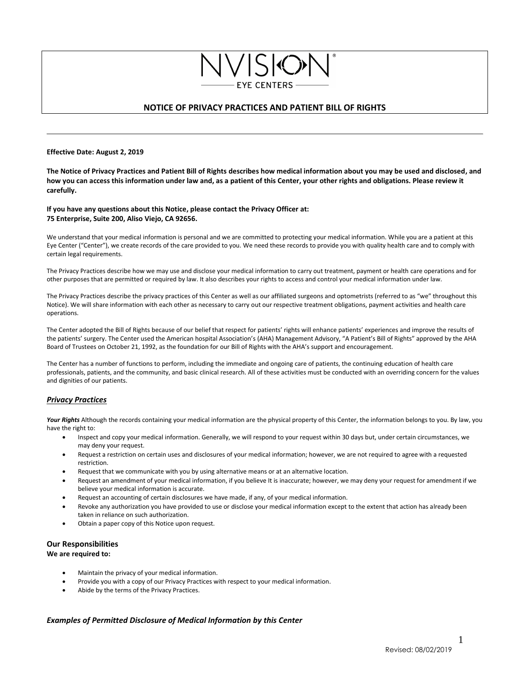# **NOTICE OF PRIVACY PRACTICES AND PATIENT BILL OF RIGHTS**

**EYE CENTERS** 

#### **Effective Date: August 2, 2019**

**The Notice of Privacy Practices and Patient Bill of Rights describes how medical information about you may be used and disclosed, and how you can access this information under law and, as a patient of this Center, your other rights and obligations. Please review it carefully.**

#### **If you have any questions about this Notice, please contact the Privacy Officer at: 75 Enterprise, Suite 200, Aliso Viejo, CA 92656.**

We understand that your medical information is personal and we are committed to protecting your medical information. While you are a patient at this Eye Center ("Center"), we create records of the care provided to you. We need these records to provide you with quality health care and to comply with certain legal requirements.

The Privacy Practices describe how we may use and disclose your medical information to carry out treatment, payment or health care operations and for other purposes that are permitted or required by law. It also describes your rights to access and control your medical information under law.

The Privacy Practices describe the privacy practices of this Center as well as our affiliated surgeons and optometrists (referred to as "we" throughout this Notice). We will share information with each other as necessary to carry out our respective treatment obligations, payment activities and health care operations.

The Center adopted the Bill of Rights because of our belief that respect for patients' rights will enhance patients' experiences and improve the results of the patients' surgery. The Center used the American hospital Association's (AHA) Management Advisory, "A Patient's Bill of Rights" approved by the AHA Board of Trustees on October 21, 1992, as the foundation for our Bill of Rights with the AHA's support and encouragement.

The Center has a number of functions to perform, including the immediate and ongoing care of patients, the continuing education of health care professionals, patients, and the community, and basic clinical research. All of these activities must be conducted with an overriding concern for the values and dignities of our patients.

## *Privacy Practices*

Your Rights Although the records containing your medical information are the physical property of this Center, the information belongs to you. By law, you have the right to:

- Inspect and copy your medical information. Generally, we will respond to your request within 30 days but, under certain circumstances, we may deny your request.
- Request a restriction on certain uses and disclosures of your medical information; however, we are not required to agree with a requested restriction.
- Request that we communicate with you by using alternative means or at an alternative location.
- Request an amendment of your medical information, if you believe It is inaccurate; however, we may deny your request for amendment if we believe your medical information is accurate.
- Request an accounting of certain disclosures we have made, if any, of your medical information.
- Revoke any authorization you have provided to use or disclose your medical information except to the extent that action has already been taken in reliance on such authorization.
- Obtain a paper copy of this Notice upon request.

# **Our Responsibilities**

#### **We are required to:**

- Maintain the privacy of your medical information.
- Provide you with a copy of our Privacy Practices with respect to your medical information.
- Abide by the terms of the Privacy Practices.

## *Examples of Permitted Disclosure of Medical Information by this Center*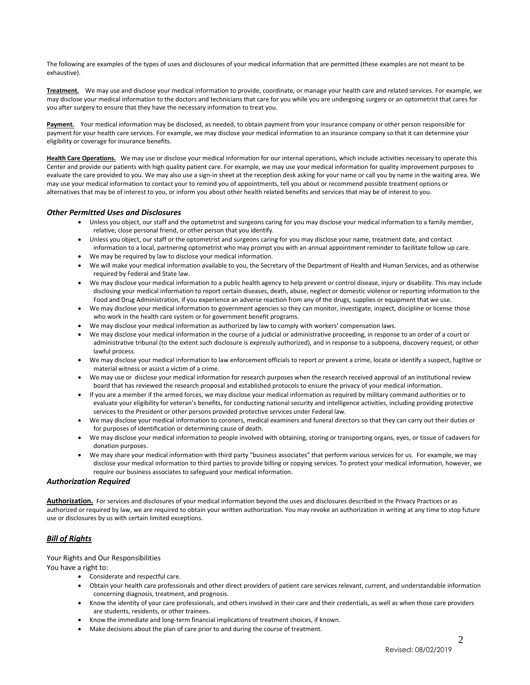The following are examples of the types of uses and disclosures of your medical information that are permitted (these examples are not meant to be exhaustive).

**Treatment.** We may use and disclose your medical information to provide, coordinate, or manage your health care and related services. For example, we may disclose your medical information to the doctors and technicians that care for you while you are undergoing surgery or an optometrist that cares for you after surgery to ensure that they have the necessary information to treat you.

**Payment.** Your medical information may be disclosed, as needed, to obtain payment from your insurance company or other person responsible for payment for your health care services. For example, we may disclose your medical information to an insurance company so that it can determine your eligibility or coverage for insurance benefits.

**Health Care Operations.**We may use or disclose your medical information for our internal operations, which include activities necessary to operate this Center and provide our patients with high quality patient care. For example, we may use your medical information for quality improvement purposes to evaluate the care provided to you. We may also use a sign-in sheet at the reception desk asking for your name or call you by name in the waiting area. We may use your medical information to contact your to remind you of appointments, tell you about or recommend possible treatment options or alternatives that may be of interest to you, or inform you about other health related benefits and services that may be of interest to you.

### *Other Permitted Uses and Disclosures*

- Unless you object, our staff and the optometrist and surgeons caring for you may disclose your medical information to a family member, relative, close personal friend, or other person that you identify.
- Unless you object, our staff or the optometrist and surgeons caring for you may disclose your name, treatment date, and contact information to a local, partnering optometrist who may prompt you with an annual appointment reminder to facilitate follow up care.
- We may be required by law to disclose your medical information.
- We will make your medical information available to you, the Secretary of the Department of Health and Human Services, and as otherwise required by Federal and State law.
- We may disclose your medical information to a public health agency to help prevent or control disease, injury or disability. This may include disclosing your medical information to report certain diseases, death, abuse, neglect or domestic violence or reporting information to the Food and Drug Administration, if you experience an adverse reaction from any of the drugs, supplies or equipment that we use.
- We may disclose your medical information to government agencies so they can monitor, investigate, inspect, discipline or license those who work in the health care system or for government benefit programs.
- We may disclose your medical information as authorized by law to comply with workers' compensation laws.
- We may disclose your medical information in the course of a judicial or administrative proceeding, in response to an order of a court or administrative tribunal (to the extent such disclosure is expressly authorized), and in response to a subpoena, discovery request, or other lawful process.
- We may disclose your medical information to law enforcement officials to report or prevent a crime, locate or identify a suspect, fugitive or material witness or assist a victim of a crime.
- We may use or disclose your medical information for research purposes when the research received approval of an institutional review board that has reviewed the research proposal and established protocols to ensure the privacy of your medical information.
- If you are a member if the armed forces, we may disclose your medical information as required by military command authorities or to evaluate your eligibility for veteran's benefits, for conducting national security and intelligence activities, including providing protective services to the President or other persons provided protective services under Federal law.
- We may disclose your medical information to coroners, medical examiners and funeral directors so that they can carry out their duties or for purposes of identification or determining cause of death.
- We may disclose your medical information to people involved with obtaining, storing or transporting organs, eyes, or tissue of cadavers for donation purposes.
- We may share your medical information with third party "business associates" that perform various services for us. For example, we may disclose your medical information to third parties to provide billing or copying services. To protect your medical information, however, we require our business associates to safeguard your medical information.

#### *Authorization Required*

**Authorization.** For services and disclosures of your medical information beyond the uses and disclosures described in the Privacy Practices or as authorized or required by law, we are required to obtain your written authorization. You may revoke an authorization in writing at any time to stop future use or disclosures by us with certain limited exceptions.

## *Bill of Rights*

### Your Rights and Our Responsibilities

You have a right to:

- Considerate and respectful care.
- Obtain your health care professionals and other direct providers of patient care services relevant, current, and understandable information concerning diagnosis, treatment, and prognosis.
- Know the identity of your care professionals, and others involved in their care and their credentials, as well as when those care providers are students, residents, or other trainees.
- Know the immediate and long-term financial implications of treatment choices, if known.
- Make decisions about the plan of care prior to and during the course of treatment.